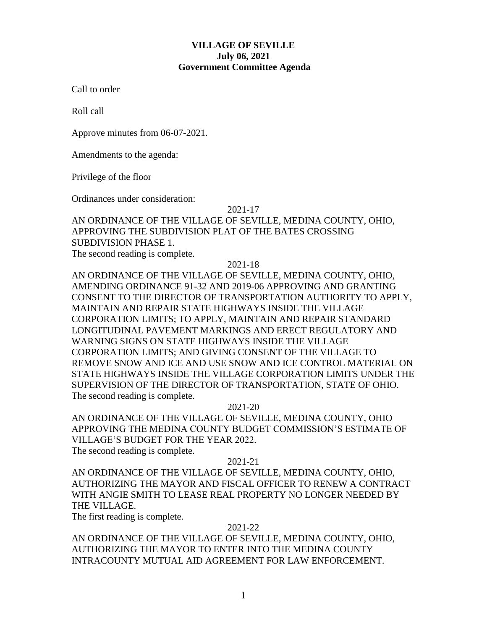### **VILLAGE OF SEVILLE July 06, 2021 Government Committee Agenda**

Call to order

Roll call

Approve minutes from 06-07-2021.

Amendments to the agenda:

Privilege of the floor

Ordinances under consideration:

2021-17

# AN ORDINANCE OF THE VILLAGE OF SEVILLE, MEDINA COUNTY, OHIO, APPROVING THE SUBDIVISION PLAT OF THE BATES CROSSING SUBDIVISION PHASE 1.

The second reading is complete.

2021-18

AN ORDINANCE OF THE VILLAGE OF SEVILLE, MEDINA COUNTY, OHIO, AMENDING ORDINANCE 91-32 AND 2019-06 APPROVING AND GRANTING CONSENT TO THE DIRECTOR OF TRANSPORTATION AUTHORITY TO APPLY, MAINTAIN AND REPAIR STATE HIGHWAYS INSIDE THE VILLAGE CORPORATION LIMITS; TO APPLY, MAINTAIN AND REPAIR STANDARD LONGITUDINAL PAVEMENT MARKINGS AND ERECT REGULATORY AND WARNING SIGNS ON STATE HIGHWAYS INSIDE THE VILLAGE CORPORATION LIMITS; AND GIVING CONSENT OF THE VILLAGE TO REMOVE SNOW AND ICE AND USE SNOW AND ICE CONTROL MATERIAL ON STATE HIGHWAYS INSIDE THE VILLAGE CORPORATION LIMITS UNDER THE SUPERVISION OF THE DIRECTOR OF TRANSPORTATION, STATE OF OHIO. The second reading is complete.

#### 2021-20

AN ORDINANCE OF THE VILLAGE OF SEVILLE, MEDINA COUNTY, OHIO APPROVING THE MEDINA COUNTY BUDGET COMMISSION'S ESTIMATE OF VILLAGE'S BUDGET FOR THE YEAR 2022. The second reading is complete.

### 2021-21

AN ORDINANCE OF THE VILLAGE OF SEVILLE, MEDINA COUNTY, OHIO, AUTHORIZING THE MAYOR AND FISCAL OFFICER TO RENEW A CONTRACT WITH ANGIE SMITH TO LEASE REAL PROPERTY NO LONGER NEEDED BY THE VILLAGE.

The first reading is complete.

#### 2021-22

AN ORDINANCE OF THE VILLAGE OF SEVILLE, MEDINA COUNTY, OHIO, AUTHORIZING THE MAYOR TO ENTER INTO THE MEDINA COUNTY INTRACOUNTY MUTUAL AID AGREEMENT FOR LAW ENFORCEMENT.